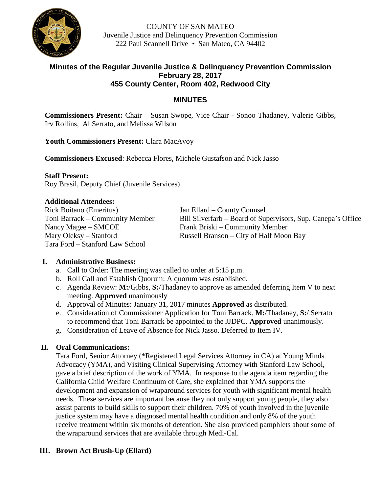

COUNTY OF SAN MATEO Juvenile Justice and Delinquency Prevention Commission 222 Paul Scannell Drive • San Mateo, CA 94402

# **Minutes of the Regular Juvenile Justice & Delinquency Prevention Commission February 28, 2017 455 County Center, Room 402, Redwood City**

# **MINUTES**

**Commissioners Present:** Chair – Susan Swope, Vice Chair - Sonoo Thadaney, Valerie Gibbs, Irv Rollins, Al Serrato, and Melissa Wilson

### **Youth Commissioners Present:** Clara MacAvoy

**Commissioners Excused**: Rebecca Flores, Michele Gustafson and Nick Jasso

**Staff Present:**

Roy Brasil, Deputy Chief (Juvenile Services)

### **Additional Attendees:**

Rick Boitano (Emeritus) Jan Ellard – County Counsel Nancy Magee – SMCOE Frank Briski – Community Member Tara Ford – Stanford Law School

Toni Barrack – Community Member Bill Silverfarb – Board of Supervisors, Sup. Canepa's Office Mary Oleksy – Stanford Russell Branson – City of Half Moon Bay

# **I. Administrative Business:**

- a. Call to Order: The meeting was called to order at 5:15 p.m.
- b. Roll Call and Establish Quorum: A quorum was established.
- c. Agenda Review: **M:**/Gibbs, **S:**/Thadaney to approve as amended deferring Item V to next meeting. **Approved** unanimously
- d. Approval of Minutes: January 31, 2017 minutes **Approved** as distributed.
- e. Consideration of Commissioner Application for Toni Barrack. **M:**/Thadaney, **S:**/ Serrato to recommend that Toni Barrack be appointed to the JJDPC. **Approved** unanimously.
- g. Consideration of Leave of Absence for Nick Jasso. Deferred to Item IV.

# **II. Oral Communications:**

Tara Ford, Senior Attorney (\*Registered Legal Services Attorney in CA) at Young Minds Advocacy (YMA), and Visiting Clinical Supervising Attorney with Stanford Law School, gave a brief description of the work of YMA. In response to the agenda item regarding the California Child Welfare Continuum of Care, she explained that YMA supports the development and expansion of wraparound services for youth with significant mental health needs. These services are important because they not only support young people, they also assist parents to build skills to support their children. 70% of youth involved in the juvenile justice system may have a diagnosed mental health condition and only 8% of the youth receive treatment within six months of detention. She also provided pamphlets about some of the wraparound services that are available through Medi-Cal.

# **III. Brown Act Brush-Up (Ellard)**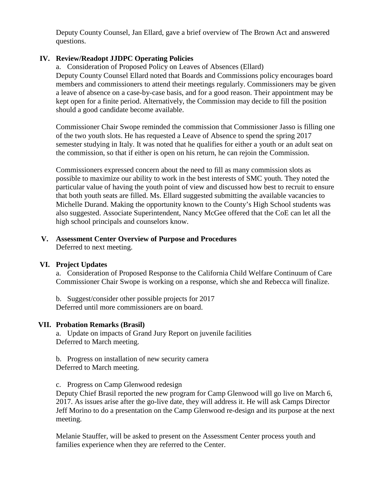Deputy County Counsel, Jan Ellard, gave a brief overview of The Brown Act and answered questions.

### **IV. Review/Readopt JJDPC Operating Policies**

a. Consideration of Proposed Policy on Leaves of Absences (Ellard) Deputy County Counsel Ellard noted that Boards and Commissions policy encourages board members and commissioners to attend their meetings regularly. Commissioners may be given a leave of absence on a case-by-case basis, and for a good reason. Their appointment may be kept open for a finite period. Alternatively, the Commission may decide to fill the position should a good candidate become available.

Commissioner Chair Swope reminded the commission that Commissioner Jasso is filling one of the two youth slots. He has requested a Leave of Absence to spend the spring 2017 semester studying in Italy. It was noted that he qualifies for either a youth or an adult seat on the commission, so that if either is open on his return, he can rejoin the Commission.

Commissioners expressed concern about the need to fill as many commission slots as possible to maximize our ability to work in the best interests of SMC youth. They noted the particular value of having the youth point of view and discussed how best to recruit to ensure that both youth seats are filled. Ms. Ellard suggested submitting the available vacancies to Michelle Durand. Making the opportunity known to the County's High School students was also suggested. Associate Superintendent, Nancy McGee offered that the CoE can let all the high school principals and counselors know.

#### **V. Assessment Center Overview of Purpose and Procedures** Deferred to next meeting.

### **VI. Project Updates**

a. Consideration of Proposed Response to the California Child Welfare Continuum of Care Commissioner Chair Swope is working on a response, which she and Rebecca will finalize.

b. Suggest/consider other possible projects for 2017 Deferred until more commissioners are on board.

### **VII. Probation Remarks (Brasil)**

a. Update on impacts of Grand Jury Report on juvenile facilities Deferred to March meeting.

b. Progress on installation of new security camera Deferred to March meeting.

c. Progress on Camp Glenwood redesign

Deputy Chief Brasil reported the new program for Camp Glenwood will go live on March 6, 2017. As issues arise after the go-live date, they will address it. He will ask Camps Director Jeff Morino to do a presentation on the Camp Glenwood re-design and its purpose at the next meeting.

Melanie Stauffer, will be asked to present on the Assessment Center process youth and families experience when they are referred to the Center.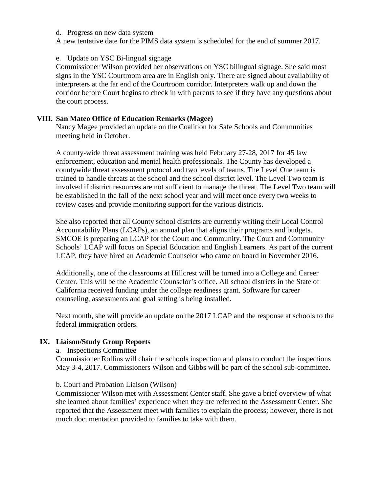#### d. Progress on new data system

A new tentative date for the PIMS data system is scheduled for the end of summer 2017.

### e. Update on YSC Bi-lingual signage

Commissioner Wilson provided her observations on YSC bilingual signage. She said most signs in the YSC Courtroom area are in English only. There are signed about availability of interpreters at the far end of the Courtroom corridor. Interpreters walk up and down the corridor before Court begins to check in with parents to see if they have any questions about the court process.

### **VIII. San Mateo Office of Education Remarks (Magee)**

Nancy Magee provided an update on the Coalition for Safe Schools and Communities meeting held in October.

A county-wide threat assessment training was held February 27-28, 2017 for 45 law enforcement, education and mental health professionals. The County has developed a countywide threat assessment protocol and two levels of teams. The Level One team is trained to handle threats at the school and the school district level. The Level Two team is involved if district resources are not sufficient to manage the threat. The Level Two team will be established in the fall of the next school year and will meet once every two weeks to review cases and provide monitoring support for the various districts.

She also reported that all County school districts are currently writing their Local Control Accountability Plans (LCAPs), an annual plan that aligns their programs and budgets. SMCOE is preparing an LCAP for the Court and Community. The Court and Community Schools' LCAP will focus on Special Education and English Learners. As part of the current LCAP, they have hired an Academic Counselor who came on board in November 2016.

Additionally, one of the classrooms at Hillcrest will be turned into a College and Career Center. This will be the Academic Counselor's office. All school districts in the State of California received funding under the college readiness grant. Software for career counseling, assessments and goal setting is being installed.

Next month, she will provide an update on the 2017 LCAP and the response at schools to the federal immigration orders.

### **IX. Liaison/Study Group Reports**

### a. Inspections Committee

Commissioner Rollins will chair the schools inspection and plans to conduct the inspections May 3-4, 2017. Commissioners Wilson and Gibbs will be part of the school sub-committee.

### b. Court and Probation Liaison (Wilson)

Commissioner Wilson met with Assessment Center staff. She gave a brief overview of what she learned about families' experience when they are referred to the Assessment Center. She reported that the Assessment meet with families to explain the process; however, there is not much documentation provided to families to take with them.